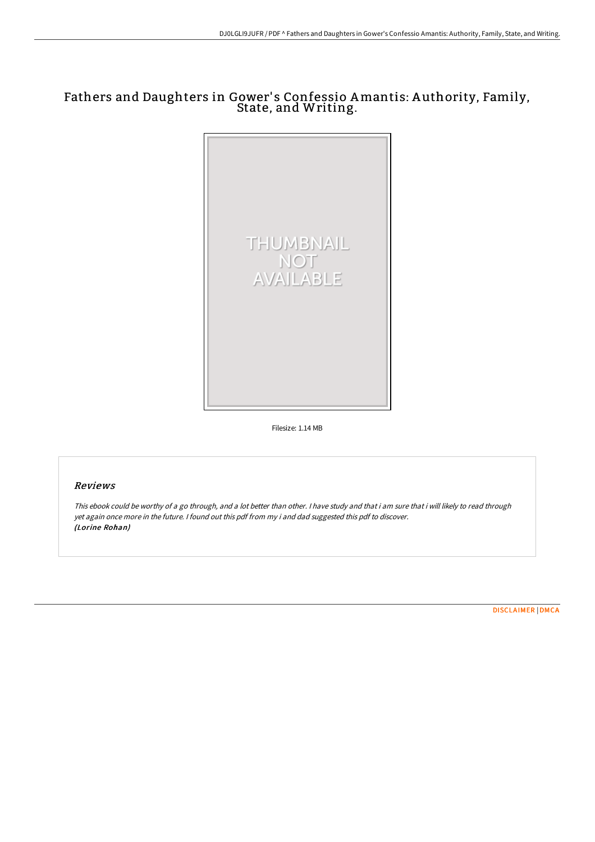# Fathers and Daughters in Gower' s Confessio Amantis: A uthority, Family, State, and Writing.



Filesize: 1.14 MB

# Reviews

This ebook could be worthy of <sup>a</sup> go through, and <sup>a</sup> lot better than other. <sup>I</sup> have study and that i am sure that i will likely to read through yet again once more in the future. <sup>I</sup> found out this pdf from my i and dad suggested this pdf to discover. (Lorine Rohan)

[DISCLAIMER](http://digilib.live/disclaimer.html) | [DMCA](http://digilib.live/dmca.html)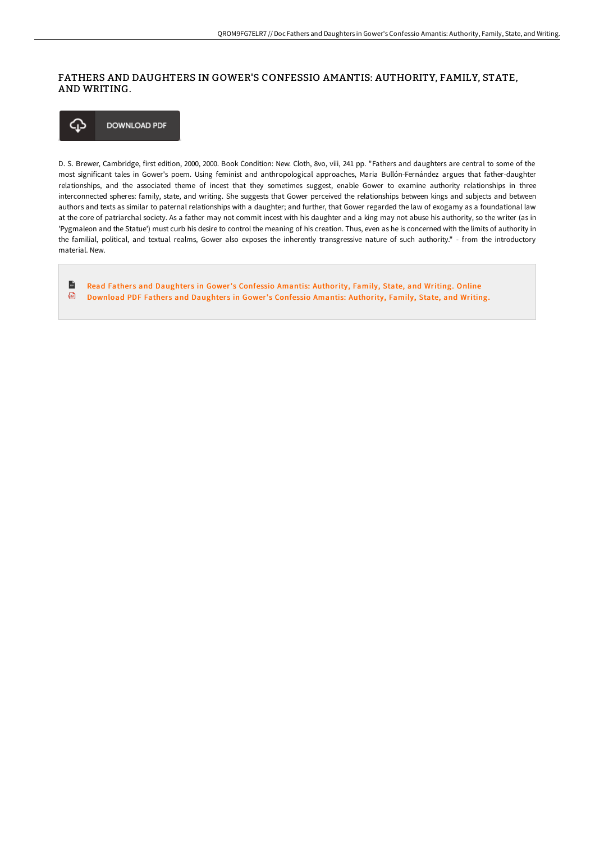## FATHERS AND DAUGHTERS IN GOWER'S CONFESSIO AMANTIS: AUTHORITY, FAMILY, STATE, AND WRITING.

⊕ **DOWNLOAD PDF** 

D. S. Brewer, Cambridge, first edition, 2000, 2000. Book Condition: New. Cloth, 8vo, viii, 241 pp. "Fathers and daughters are central to some of the most significant tales in Gower's poem. Using feminist and anthropological approaches, Maria Bullón-Fernández argues that father-daughter relationships, and the associated theme of incest that they sometimes suggest, enable Gower to examine authority relationships in three interconnected spheres: family, state, and writing. She suggests that Gower perceived the relationships between kings and subjects and between authors and texts as similar to paternal relationships with a daughter; and further, that Gower regarded the law of exogamy as a foundational law at the core of patriarchal society. As a father may not commit incest with his daughter and a king may not abuse his authority, so the writer (as in 'Pygmaleon and the Statue') must curb his desire to control the meaning of his creation. Thus, even as he is concerned with the limits of authority in the familial, political, and textual realms, Gower also exposes the inherently transgressive nature of such authority." - from the introductory material. New.

 $\overline{\mathbf{m}}$ Read Fathers and Daughters in Gower's Confessio Amantis: [Authority,](http://digilib.live/fathers-and-daughters-in-gower-x27-s-confessio-a.html) Family, State, and Writing. Online ⊕ Download PDF Fathers and Daughters in Gower's Confessio Amantis: [Authority,](http://digilib.live/fathers-and-daughters-in-gower-x27-s-confessio-a.html) Family, State, and Writing.